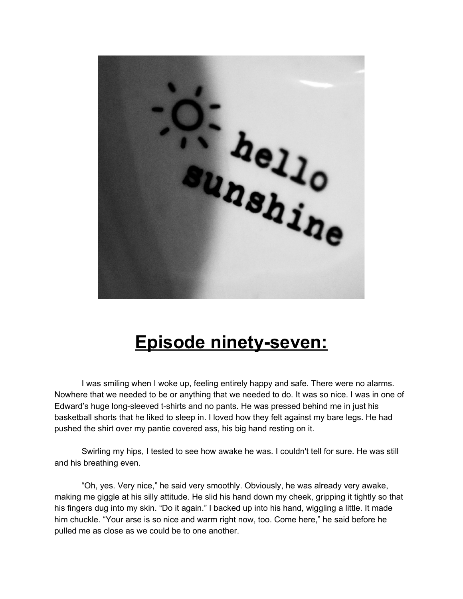

## **Episode ninety-seven:**

I was smiling when I woke up, feeling entirely happy and safe. There were no alarms. Nowhere that we needed to be or anything that we needed to do. It was so nice. I was in one of Edward's huge long-sleeved t-shirts and no pants. He was pressed behind me in just his basketball shorts that he liked to sleep in. I loved how they felt against my bare legs. He had pushed the shirt over my pantie covered ass, his big hand resting on it.

Swirling my hips, I tested to see how awake he was. I couldn't tell for sure. He was still and his breathing even.

"Oh, yes. Very nice," he said very smoothly. Obviously, he was already very awake, making me giggle at his silly attitude. He slid his hand down my cheek, gripping it tightly so that his fingers dug into my skin. "Do it again." I backed up into his hand, wiggling a little. It made him chuckle. "Your arse is so nice and warm right now, too. Come here," he said before he pulled me as close as we could be to one another.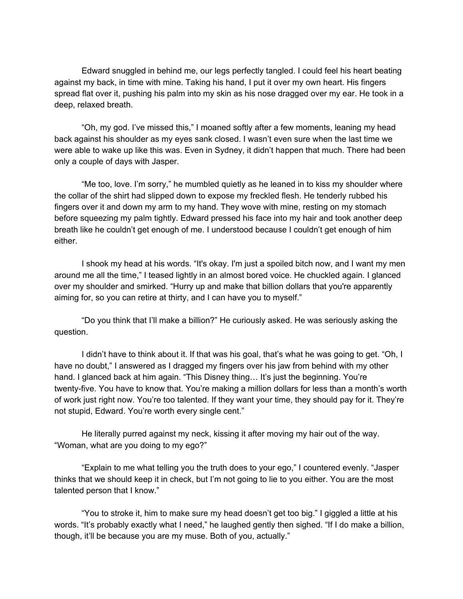Edward snuggled in behind me, our legs perfectly tangled. I could feel his heart beating against my back, in time with mine. Taking his hand, I put it over my own heart. His fingers spread flat over it, pushing his palm into my skin as his nose dragged over my ear. He took in a deep, relaxed breath.

"Oh, my god. I've missed this," I moaned softly after a few moments, leaning my head back against his shoulder as my eyes sank closed. I wasn't even sure when the last time we were able to wake up like this was. Even in Sydney, it didn't happen that much. There had been only a couple of days with Jasper.

"Me too, love. I'm sorry," he mumbled quietly as he leaned in to kiss my shoulder where the collar of the shirt had slipped down to expose my freckled flesh. He tenderly rubbed his fingers over it and down my arm to my hand. They wove with mine, resting on my stomach before squeezing my palm tightly. Edward pressed his face into my hair and took another deep breath like he couldn't get enough of me. I understood because I couldn't get enough of him either.

I shook my head at his words. "It's okay. I'm just a spoiled bitch now, and I want my men around me all the time," I teased lightly in an almost bored voice. He chuckled again. I glanced over my shoulder and smirked. "Hurry up and make that billion dollars that you're apparently aiming for, so you can retire at thirty, and I can have you to myself."

"Do you think that I'll make a billion?" He curiously asked. He was seriously asking the question.

I didn't have to think about it. If that was his goal, that's what he was going to get. "Oh, I have no doubt," I answered as I dragged my fingers over his jaw from behind with my other hand. I glanced back at him again. "This Disney thing... It's just the beginning. You're twenty-five. You have to know that. You're making a million dollars for less than a month's worth of work just right now. You're too talented. If they want your time, they should pay for it. They're not stupid, Edward. You're worth every single cent."

He literally purred against my neck, kissing it after moving my hair out of the way. "Woman, what are you doing to my ego?"

"Explain to me what telling you the truth does to your ego," I countered evenly. "Jasper thinks that we should keep it in check, but I'm not going to lie to you either. You are the most talented person that I know."

"You to stroke it, him to make sure my head doesn't get too big." I giggled a little at his words. "It's probably exactly what I need," he laughed gently then sighed. "If I do make a billion, though, it'll be because you are my muse. Both of you, actually."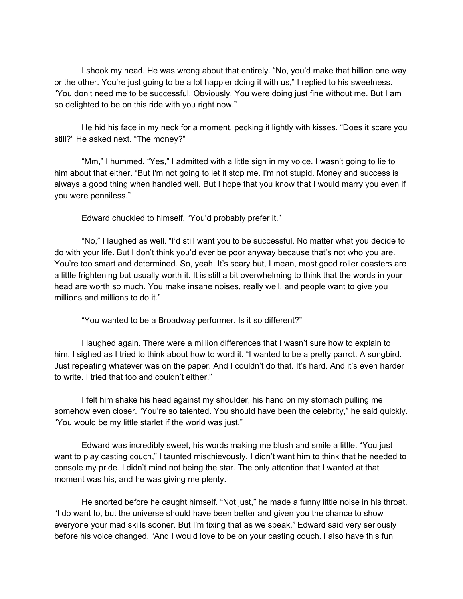I shook my head. He was wrong about that entirely. "No, you'd make that billion one way or the other. You're just going to be a lot happier doing it with us," I replied to his sweetness. "You don't need me to be successful. Obviously. You were doing just fine without me. But I am so delighted to be on this ride with you right now."

He hid his face in my neck for a moment, pecking it lightly with kisses. "Does it scare you still?" He asked next. "The money?"

"Mm," I hummed. "Yes," I admitted with a little sigh in my voice. I wasn't going to lie to him about that either. "But I'm not going to let it stop me. I'm not stupid. Money and success is always a good thing when handled well. But I hope that you know that I would marry you even if you were penniless."

Edward chuckled to himself. "You'd probably prefer it."

"No," I laughed as well. "I'd still want you to be successful. No matter what you decide to do with your life. But I don't think you'd ever be poor anyway because that's not who you are. You're too smart and determined. So, yeah. It's scary but, I mean, most good roller coasters are a little frightening but usually worth it. It is still a bit overwhelming to think that the words in your head are worth so much. You make insane noises, really well, and people want to give you millions and millions to do it."

"You wanted to be a Broadway performer. Is it so different?"

I laughed again. There were a million differences that I wasn't sure how to explain to him. I sighed as I tried to think about how to word it. "I wanted to be a pretty parrot. A songbird. Just repeating whatever was on the paper. And I couldn't do that. It's hard. And it's even harder to write. I tried that too and couldn't either."

I felt him shake his head against my shoulder, his hand on my stomach pulling me somehow even closer. "You're so talented. You should have been the celebrity," he said quickly. "You would be my little starlet if the world was just."

Edward was incredibly sweet, his words making me blush and smile a little. "You just want to play casting couch," I taunted mischievously. I didn't want him to think that he needed to console my pride. I didn't mind not being the star. The only attention that I wanted at that moment was his, and he was giving me plenty.

He snorted before he caught himself. "Not just," he made a funny little noise in his throat. "I do want to, but the universe should have been better and given you the chance to show everyone your mad skills sooner. But I'm fixing that as we speak," Edward said very seriously before his voice changed. "And I would love to be on your casting couch. I also have this fun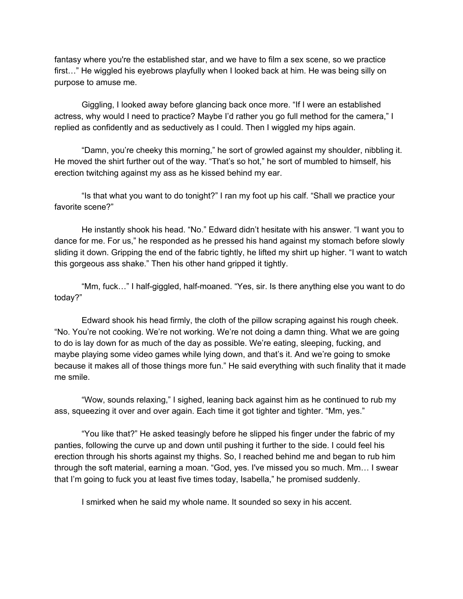fantasy where you're the established star, and we have to film a sex scene, so we practice first…" He wiggled his eyebrows playfully when I looked back at him. He was being silly on purpose to amuse me.

Giggling, I looked away before glancing back once more. "If I were an established actress, why would I need to practice? Maybe I'd rather you go full method for the camera," I replied as confidently and as seductively as I could. Then I wiggled my hips again.

"Damn, you're cheeky this morning," he sort of growled against my shoulder, nibbling it. He moved the shirt further out of the way. "That's so hot," he sort of mumbled to himself, his erection twitching against my ass as he kissed behind my ear.

"Is that what you want to do tonight?" I ran my foot up his calf. "Shall we practice your favorite scene?"

He instantly shook his head. "No." Edward didn't hesitate with his answer. "I want you to dance for me. For us," he responded as he pressed his hand against my stomach before slowly sliding it down. Gripping the end of the fabric tightly, he lifted my shirt up higher. "I want to watch this gorgeous ass shake." Then his other hand gripped it tightly.

"Mm, fuck…" I half-giggled, half-moaned. "Yes, sir. Is there anything else you want to do today?"

Edward shook his head firmly, the cloth of the pillow scraping against his rough cheek. "No. You're not cooking. We're not working. We're not doing a damn thing. What we are going to do is lay down for as much of the day as possible. We're eating, sleeping, fucking, and maybe playing some video games while lying down, and that's it. And we're going to smoke because it makes all of those things more fun." He said everything with such finality that it made me smile.

"Wow, sounds relaxing," I sighed, leaning back against him as he continued to rub my ass, squeezing it over and over again. Each time it got tighter and tighter. "Mm, yes."

"You like that?" He asked teasingly before he slipped his finger under the fabric of my panties, following the curve up and down until pushing it further to the side. I could feel his erection through his shorts against my thighs. So, I reached behind me and began to rub him through the soft material, earning a moan. "God, yes. I've missed you so much. Mm… I swear that I'm going to fuck you at least five times today, Isabella," he promised suddenly.

I smirked when he said my whole name. It sounded so sexy in his accent.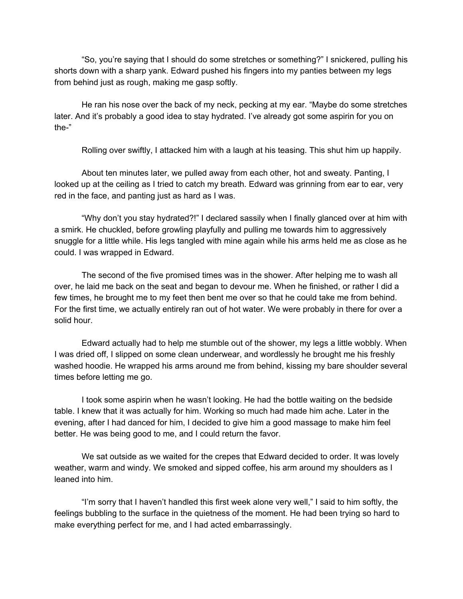"So, you're saying that I should do some stretches or something?" I snickered, pulling his shorts down with a sharp yank. Edward pushed his fingers into my panties between my legs from behind just as rough, making me gasp softly.

He ran his nose over the back of my neck, pecking at my ear. "Maybe do some stretches later. And it's probably a good idea to stay hydrated. I've already got some aspirin for you on the-"

Rolling over swiftly, I attacked him with a laugh at his teasing. This shut him up happily.

About ten minutes later, we pulled away from each other, hot and sweaty. Panting, I looked up at the ceiling as I tried to catch my breath. Edward was grinning from ear to ear, very red in the face, and panting just as hard as I was.

"Why don't you stay hydrated?!" I declared sassily when I finally glanced over at him with a smirk. He chuckled, before growling playfully and pulling me towards him to aggressively snuggle for a little while. His legs tangled with mine again while his arms held me as close as he could. I was wrapped in Edward.

The second of the five promised times was in the shower. After helping me to wash all over, he laid me back on the seat and began to devour me. When he finished, or rather I did a few times, he brought me to my feet then bent me over so that he could take me from behind. For the first time, we actually entirely ran out of hot water. We were probably in there for over a solid hour.

Edward actually had to help me stumble out of the shower, my legs a little wobbly. When I was dried off, I slipped on some clean underwear, and wordlessly he brought me his freshly washed hoodie. He wrapped his arms around me from behind, kissing my bare shoulder several times before letting me go.

I took some aspirin when he wasn't looking. He had the bottle waiting on the bedside table. I knew that it was actually for him. Working so much had made him ache. Later in the evening, after I had danced for him, I decided to give him a good massage to make him feel better. He was being good to me, and I could return the favor.

We sat outside as we waited for the crepes that Edward decided to order. It was lovely weather, warm and windy. We smoked and sipped coffee, his arm around my shoulders as I leaned into him.

"I'm sorry that I haven't handled this first week alone very well," I said to him softly, the feelings bubbling to the surface in the quietness of the moment. He had been trying so hard to make everything perfect for me, and I had acted embarrassingly.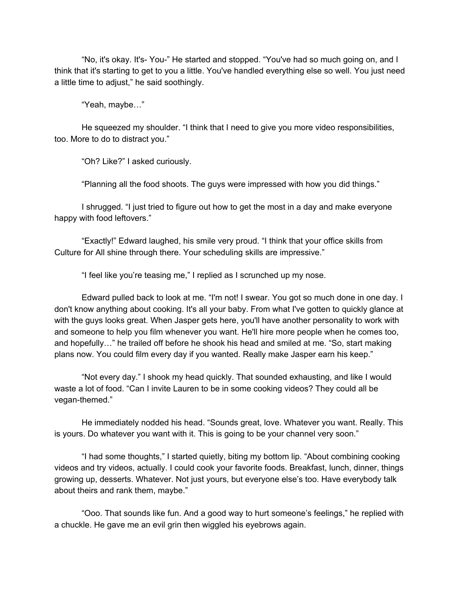"No, it's okay. It's- You-" He started and stopped. "You've had so much going on, and I think that it's starting to get to you a little. You've handled everything else so well. You just need a little time to adjust," he said soothingly.

"Yeah, maybe…"

He squeezed my shoulder. "I think that I need to give you more video responsibilities, too. More to do to distract you."

"Oh? Like?" I asked curiously.

"Planning all the food shoots. The guys were impressed with how you did things."

I shrugged. "I just tried to figure out how to get the most in a day and make everyone happy with food leftovers."

"Exactly!" Edward laughed, his smile very proud. "I think that your office skills from Culture for All shine through there. Your scheduling skills are impressive."

"I feel like you're teasing me," I replied as I scrunched up my nose.

Edward pulled back to look at me. "I'm not! I swear. You got so much done in one day. I don't know anything about cooking. It's all your baby. From what I've gotten to quickly glance at with the guys looks great. When Jasper gets here, you'll have another personality to work with and someone to help you film whenever you want. He'll hire more people when he comes too, and hopefully…" he trailed off before he shook his head and smiled at me. "So, start making plans now. You could film every day if you wanted. Really make Jasper earn his keep."

"Not every day." I shook my head quickly. That sounded exhausting, and like I would waste a lot of food. "Can I invite Lauren to be in some cooking videos? They could all be vegan-themed."

He immediately nodded his head. "Sounds great, love. Whatever you want. Really. This is yours. Do whatever you want with it. This is going to be your channel very soon."

"I had some thoughts," I started quietly, biting my bottom lip. "About combining cooking videos and try videos, actually. I could cook your favorite foods. Breakfast, lunch, dinner, things growing up, desserts. Whatever. Not just yours, but everyone else's too. Have everybody talk about theirs and rank them, maybe."

"Ooo. That sounds like fun. And a good way to hurt someone's feelings," he replied with a chuckle. He gave me an evil grin then wiggled his eyebrows again.